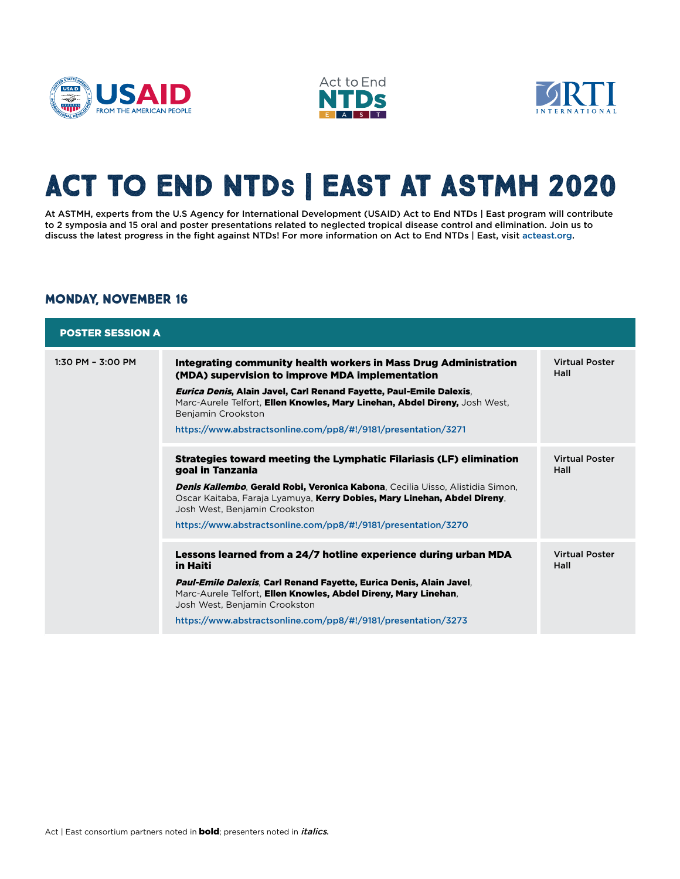





# **Act to End NTDs | East at ASTMH 2020**

At ASTMH, experts from the U.S Agency for International Development (USAID) Act to End NTDs | East program will contribute to 2 symposia and 15 oral and poster presentations related to neglected tropical disease control and elimination. Join us to discuss the latest progress in the fight against NTDs! For more information on Act to End NTDs | East, visit [acteast.org](http://acteast.org).

#### **MONDAY, NOVEMBER 16**

| <b>POSTER SESSION A</b> |                                                                                                                                                                                                                                                                                                                                                                 |                               |
|-------------------------|-----------------------------------------------------------------------------------------------------------------------------------------------------------------------------------------------------------------------------------------------------------------------------------------------------------------------------------------------------------------|-------------------------------|
| $1:30$ PM - $3:00$ PM   | Integrating community health workers in Mass Drug Administration<br>(MDA) supervision to improve MDA implementation<br>Eurica Denis, Alain Javel, Carl Renand Fayette, Paul-Emile Dalexis,<br>Marc-Aurele Telfort, Ellen Knowles, Mary Linehan, Abdel Direny, Josh West,<br>Benjamin Crookston<br>https://www.abstractsonline.com/pp8/#!/9181/presentation/3271 | <b>Virtual Poster</b><br>Hall |
|                         | Strategies toward meeting the Lymphatic Filariasis (LF) elimination<br>goal in Tanzania<br>Denis Kailembo, Gerald Robi, Veronica Kabona, Cecilia Uisso, Alistidia Simon,<br>Oscar Kaitaba, Faraja Lyamuya, Kerry Dobies, Mary Linehan, Abdel Direny,<br>Josh West, Benjamin Crookston<br>https://www.abstractsonline.com/pp8/#!/9181/presentation/3270          | <b>Virtual Poster</b><br>Hall |
|                         | Lessons learned from a 24/7 hotline experience during urban MDA<br>in Haiti<br>Paul-Emile Dalexis, Carl Renand Fayette, Eurica Denis, Alain Javel,<br>Marc-Aurele Telfort, Ellen Knowles, Abdel Direny, Mary Linehan,<br>Josh West, Benjamin Crookston<br>https://www.abstractsonline.com/pp8/#!/9181/presentation/3273                                         | <b>Virtual Poster</b><br>Hall |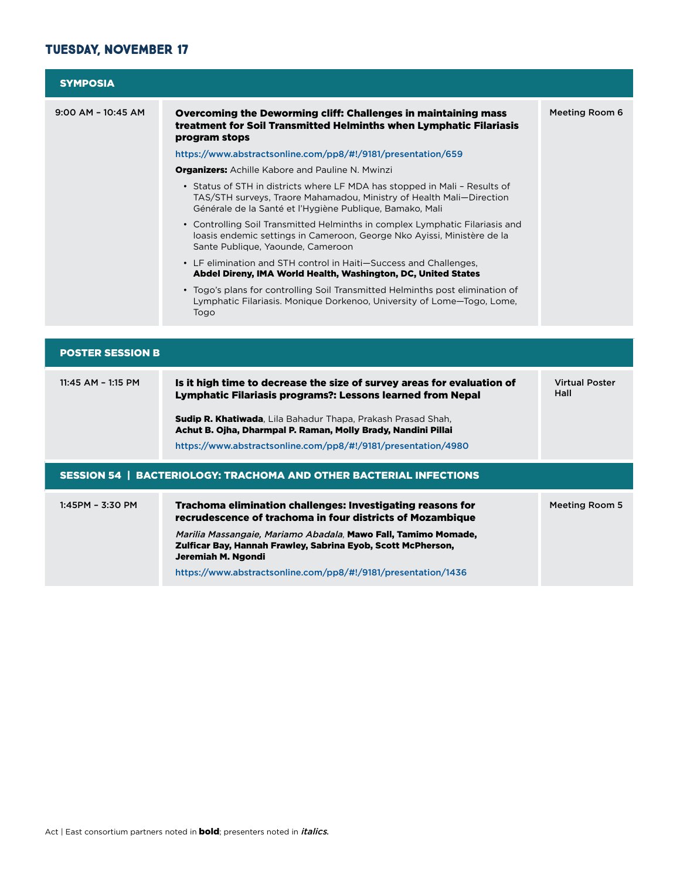### **TUESDAY, NOVEMBER 17**

| <b>SYMPOSIA</b>         |                                                                                                                                                                                                                |                               |
|-------------------------|----------------------------------------------------------------------------------------------------------------------------------------------------------------------------------------------------------------|-------------------------------|
| $9:00$ AM - $10:45$ AM  | Overcoming the Deworming cliff: Challenges in maintaining mass<br>treatment for Soil Transmitted Helminths when Lymphatic Filariasis<br>program stops                                                          | Meeting Room 6                |
|                         | https://www.abstractsonline.com/pp8/#!/9181/presentation/659                                                                                                                                                   |                               |
|                         | <b>Organizers:</b> Achille Kabore and Pauline N. Mwinzi                                                                                                                                                        |                               |
|                         | • Status of STH in districts where LF MDA has stopped in Mali - Results of<br>TAS/STH surveys, Traore Mahamadou, Ministry of Health Mali-Direction<br>Générale de la Santé et l'Hygiène Publique, Bamako, Mali |                               |
|                         | • Controlling Soil Transmitted Helminths in complex Lymphatic Filariasis and<br>loasis endemic settings in Cameroon, George Nko Ayissi, Ministère de la<br>Sante Publique, Yaounde, Cameroon                   |                               |
|                         | • LF elimination and STH control in Haiti–Success and Challenges,<br>Abdel Direny, IMA World Health, Washington, DC, United States                                                                             |                               |
|                         | • Togo's plans for controlling Soil Transmitted Helminths post elimination of<br>Lymphatic Filariasis. Monique Dorkenoo, University of Lome-Togo, Lome,<br>Togo                                                |                               |
|                         |                                                                                                                                                                                                                |                               |
| <b>POSTER SESSION B</b> |                                                                                                                                                                                                                |                               |
| $11:45$ AM - 1:15 PM    | Is it high time to decrease the size of survey areas for evaluation of<br><b>Lymphatic Filariasis programs?: Lessons learned from Nepal</b>                                                                    | <b>Virtual Poster</b><br>Hall |
|                         | Sudip R. Khatiwada, Lila Bahadur Thapa, Prakash Prasad Shah,<br>Achut B. Ojha, Dharmpal P. Raman, Molly Brady, Nandini Pillai                                                                                  |                               |
|                         | https://www.abstractsonline.com/pp8/#!/9181/presentation/4980                                                                                                                                                  |                               |
|                         | <b>SESSION 54   BACTERIOLOGY: TRACHOMA AND OTHER BACTERIAL INFECTIONS</b>                                                                                                                                      |                               |
| 1:45PM - 3:30 PM        | Trachoma elimination challenges: Investigating reasons for<br>recrudescence of trachoma in four districts of Mozambique                                                                                        | <b>Meeting Room 5</b>         |
|                         | <i>Marilia Massangaie, Mariamo Abadala</i> , <b>Mawo Fall, Tamimo Momade,</b><br>Zulficar Bay, Hannah Frawley, Sabrina Eyob, Scott McPherson,<br>Jeremiah M. Ngondi                                            |                               |
|                         | https://www.abstractsonline.com/pp8/#!/9181/presentation/1436                                                                                                                                                  |                               |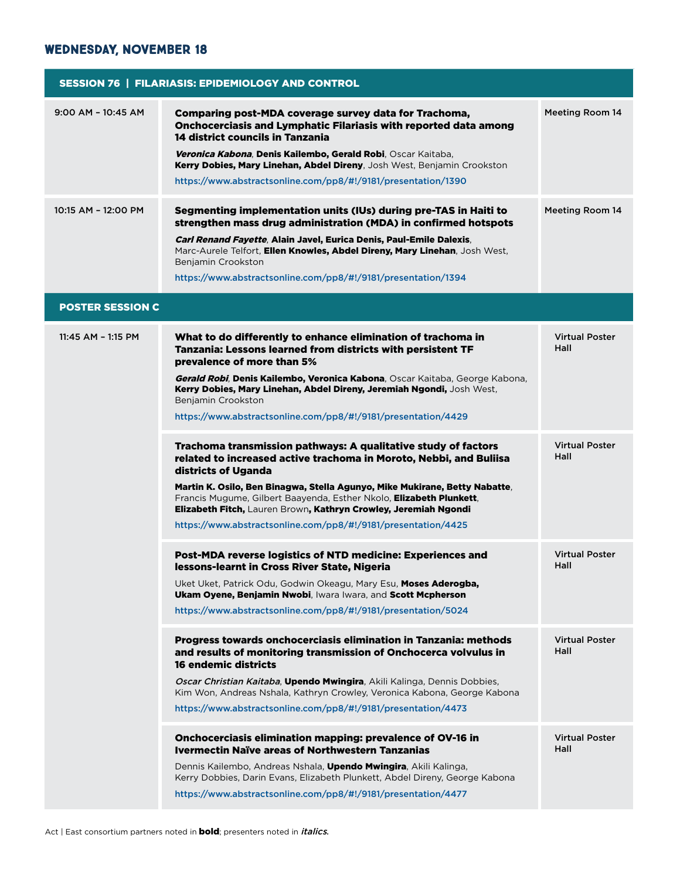### **Wednesday, November 18**

| <b>SESSION 76   FILARIASIS: EPIDEMIOLOGY AND CONTROL</b> |                                                                                                                                                                                                                                                                                                                 |                               |  |  |
|----------------------------------------------------------|-----------------------------------------------------------------------------------------------------------------------------------------------------------------------------------------------------------------------------------------------------------------------------------------------------------------|-------------------------------|--|--|
| $9:00$ AM - $10:45$ AM                                   | Comparing post-MDA coverage survey data for Trachoma,<br><b>Onchocerciasis and Lymphatic Filariasis with reported data among</b><br>14 district councils in Tanzania<br>Veronica Kabona, Denis Kailembo, Gerald Robi, Oscar Kaitaba,<br>Kerry Dobies, Mary Linehan, Abdel Direny, Josh West, Benjamin Crookston | <b>Meeting Room 14</b>        |  |  |
|                                                          | https://www.abstractsonline.com/pp8/#!/9181/presentation/1390                                                                                                                                                                                                                                                   |                               |  |  |
| 10:15 AM - 12:00 PM                                      | Segmenting implementation units (IUs) during pre-TAS in Haiti to<br>strengthen mass drug administration (MDA) in confirmed hotspots                                                                                                                                                                             | <b>Meeting Room 14</b>        |  |  |
|                                                          | Carl Renand Fayette, Alain Javel, Eurica Denis, Paul-Emile Dalexis,<br>Marc-Aurele Telfort, Ellen Knowles, Abdel Direny, Mary Linehan, Josh West,<br>Benjamin Crookston                                                                                                                                         |                               |  |  |
|                                                          | https://www.abstractsonline.com/pp8/#!/9181/presentation/1394                                                                                                                                                                                                                                                   |                               |  |  |
| <b>POSTER SESSION C</b>                                  |                                                                                                                                                                                                                                                                                                                 |                               |  |  |
| 11:45 AM - 1:15 PM                                       | What to do differently to enhance elimination of trachoma in<br>Tanzania: Lessons learned from districts with persistent TF<br>prevalence of more than 5%                                                                                                                                                       | <b>Virtual Poster</b><br>Hall |  |  |
|                                                          | Gerald Robi, Denis Kailembo, Veronica Kabona, Oscar Kaitaba, George Kabona,<br>Kerry Dobies, Mary Linehan, Abdel Direny, Jeremiah Ngondi, Josh West,<br>Benjamin Crookston                                                                                                                                      |                               |  |  |
|                                                          | https://www.abstractsonline.com/pp8/#!/9181/presentation/4429                                                                                                                                                                                                                                                   |                               |  |  |
|                                                          | Trachoma transmission pathways: A qualitative study of factors<br>related to increased active trachoma in Moroto, Nebbi, and Buliisa<br>districts of Uganda                                                                                                                                                     | <b>Virtual Poster</b><br>Hall |  |  |
|                                                          | Martin K. Osilo, Ben Binagwa, Stella Agunyo, Mike Mukirane, Betty Nabatte,<br>Francis Mugume, Gilbert Baayenda, Esther Nkolo, Elizabeth Plunkett,<br>Elizabeth Fitch, Lauren Brown, Kathryn Crowley, Jeremiah Ngondi                                                                                            |                               |  |  |
|                                                          | https://www.abstractsonline.com/pp8/#!/9181/presentation/4425                                                                                                                                                                                                                                                   |                               |  |  |
|                                                          | Post-MDA reverse logistics of NTD medicine: Experiences and<br>lessons-learnt in Cross River State, Nigeria                                                                                                                                                                                                     | <b>Virtual Poster</b><br>Hall |  |  |
|                                                          | Uket Uket, Patrick Odu, Godwin Okeagu, Mary Esu, <b>Moses Aderogba,</b><br>Ukam Oyene, Benjamin Nwobi, Iwara Iwara, and Scott Mcpherson                                                                                                                                                                         |                               |  |  |
|                                                          | https://www.abstractsonline.com/pp8/#!/9181/presentation/5024                                                                                                                                                                                                                                                   |                               |  |  |
|                                                          | Progress towards onchocerciasis elimination in Tanzania: methods<br>and results of monitoring transmission of Onchocerca volvulus in<br>16 endemic districts                                                                                                                                                    | <b>Virtual Poster</b><br>Hall |  |  |
|                                                          | Oscar Christian Kaitaba, Upendo Mwingira, Akili Kalinga, Dennis Dobbies,<br>Kim Won, Andreas Nshala, Kathryn Crowley, Veronica Kabona, George Kabona                                                                                                                                                            |                               |  |  |
|                                                          | https://www.abstractsonline.com/pp8/#!/9181/presentation/4473                                                                                                                                                                                                                                                   |                               |  |  |
|                                                          | Onchocerciasis elimination mapping: prevalence of OV-16 in<br><b>Ivermectin Naïve areas of Northwestern Tanzanias</b>                                                                                                                                                                                           | <b>Virtual Poster</b><br>Hall |  |  |
|                                                          | Dennis Kailembo, Andreas Nshala, <b>Upendo Mwingira</b> , Akili Kalinga,<br>Kerry Dobbies, Darin Evans, Elizabeth Plunkett, Abdel Direny, George Kabona                                                                                                                                                         |                               |  |  |
|                                                          | https://www.abstractsonline.com/pp8/#!/9181/presentation/4477                                                                                                                                                                                                                                                   |                               |  |  |